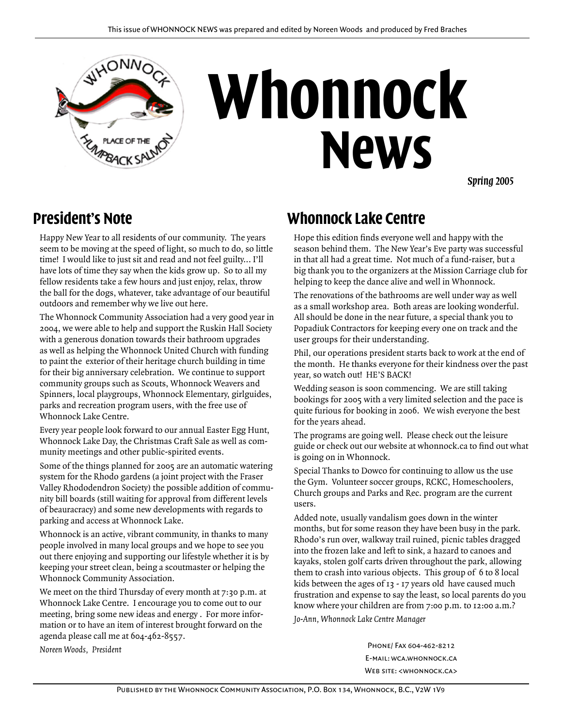

# **Whonnock News**

*Spring 2005*

#### **President's Note**

Happy New Year to all residents of our community. The years seem to be moving at the speed of light, so much to do, so little time! I would like to just sit and read and not feel guilty... I'll have lots of time they say when the kids grow up. So to all my fellow residents take a few hours and just enjoy, relax, throw the ball for the dogs, whatever, take advantage of our beautiful outdoors and remember why we live out here.

The Whonnock Community Association had a very good year in 2004, we were able to help and support the Ruskin Hall Society with a generous donation towards their bathroom upgrades as well as helping the Whonnock United Church with funding to paint the exterior of their heritage church building in time for their big anniversary celebration. We continue to support community groups such as Scouts, Whonnock Weavers and Spinners, local playgroups, Whonnock Elementary, girlguides, parks and recreation program users, with the free use of Whonnock Lake Centre.

Every year people look forward to our annual Easter Egg Hunt, Whonnock Lake Day, the Christmas Craft Sale as well as community meetings and other public-spirited events.

Some of the things planned for 2005 are an automatic watering system for the Rhodo gardens (a joint project with the Fraser Valley Rhododendron Society) the possible addition of community bill boards (still waiting for approval from different levels of beauracracy) and some new developments with regards to parking and access at Whonnock Lake.

Whonnock is an active, vibrant community, in thanks to many people involved in many local groups and we hope to see you out there enjoying and supporting our lifestyle whether it is by keeping your street clean, being a scoutmaster or helping the Whonnock Community Association.

We meet on the third Thursday of every month at 7:30 p.m. at Whonnock Lake Centre. I encourage you to come out to our meeting, bring some new ideas and energy . For more information or to have an item of interest brought forward on the agenda please call me at 604-462-8557.

*Noreen Woods, President*

#### **Whonnock Lake Centre**

Hope this edition finds everyone well and happy with the season behind them. The New Year's Eve party was successful in that all had a great time. Not much of a fund-raiser, but a big thank you to the organizers at the Mission Carriage club for helping to keep the dance alive and well in Whonnock.

The renovations of the bathrooms are well under way as well as a small workshop area. Both areas are looking wonderful. All should be done in the near future, a special thank you to Popadiuk Contractors for keeping every one on track and the user groups for their understanding.

Phil, our operations president starts back to work at the end of the month. He thanks everyone for their kindness over the past year, so watch out! HE'S BACK!

Wedding season is soon commencing. We are still taking bookings for 2005 with a very limited selection and the pace is quite furious for booking in 2006. We wish everyone the best for the years ahead.

The programs are going well. Please check out the leisure guide or check out our website at whonnock.ca to find out what is going on in Whonnock.

Special Thanks to Dowco for continuing to allow us the use the Gym. Volunteer soccer groups, RCKC, Homeschoolers, Church groups and Parks and Rec. program are the current users.

Added note, usually vandalism goes down in the winter months, but for some reason they have been busy in the park. Rhodo's run over, walkway trail ruined, picnic tables dragged into the frozen lake and left to sink, a hazard to canoes and kayaks, stolen golf carts driven throughout the park, allowing them to crash into various objects. This group of 6 to 8 local kids between the ages of 13 - 17 years old have caused much frustration and expense to say the least, so local parents do you know where your children are from 7:00 p.m. to 12:00 a.m.? *Jo-Ann, Whonnock Lake Centre Manager*

> Phone/ Fax 604-462-8212 E-mail: wca.whonnock.ca Web site: <whonnock.ca>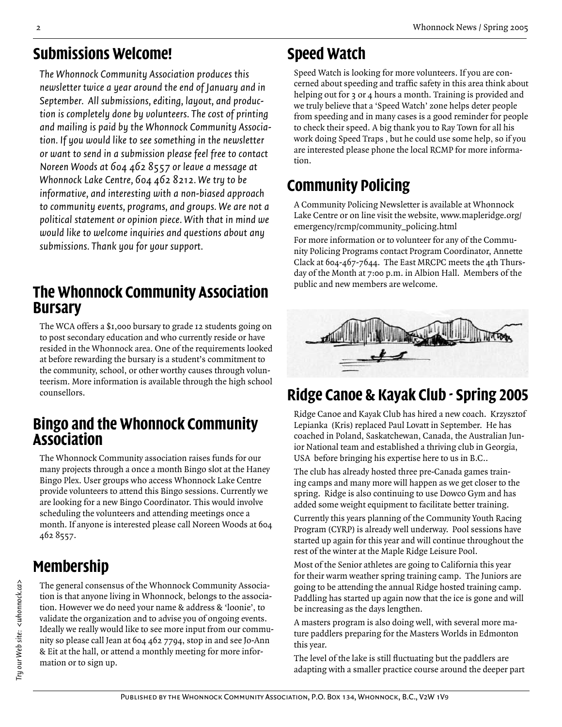#### **Submissions Welcome!**

*The Whonnock Community Association produces this newsletter twice a year around the end of January and in September. All submissions, editing, layout, and production is completely done by volunteers. The cost of printing and mailing is paid by the Whonnock Community Association. If you would like to see something in the newsletter or want to send in a submission please feel free to contact Noreen Woods at 604 462 8557 or leave a message at Whonnock Lake Centre, 604 462 8212. We try to be informative, and interesting with a non-biased approach to community events, programs, and groups. We are not a political statement or opinion piece. With that in mind we would like to welcome inquiries and questions about any submissions. Thank you for your support.*

## **The Whonnock Community Association Bursary**

The WCA offers a \$1,000 bursary to grade 12 students going on to post secondary education and who currently reside or have resided in the Whonnock area. One of the requirements looked at before rewarding the bursary is a student's commitment to the community, school, or other worthy causes through volunteerism. More information is available through the high school counsellors.

#### **Bingo and the Whonnock Community Association**

The Whonnock Community association raises funds for our many projects through a once a month Bingo slot at the Haney Bingo Plex. User groups who access Whonnock Lake Centre provide volunteers to attend this Bingo sessions. Currently we are looking for a new Bingo Coordinator. This would involve scheduling the volunteers and attending meetings once a month. If anyone is interested please call Noreen Woods at 604 462 8557.

# **Membership**

The general consensus of the Whonnock Community Association is that anyone living in Whonnock, belongs to the association. However we do need your name & address & 'loonie', to validate the organization and to advise you of ongoing events. Ideally we really would like to see more input from our community so please call Jean at 604 462 7794, stop in and see Jo-Ann & Eit at the hall, or attend a monthly meeting for more information or to sign up.

# **Speed Watch**

Speed Watch is looking for more volunteers. If you are concerned about speeding and traffic safety in this area think about helping out for 3 or 4 hours a month. Training is provided and we truly believe that a 'Speed Watch' zone helps deter people from speeding and in many cases is a good reminder for people to check their speed. A big thank you to Ray Town for all his work doing Speed Traps , but he could use some help, so if you are interested please phone the local RCMP for more information.

# **Community Policing**

A Community Policing Newsletter is available at Whonnock Lake Centre or on line visit the website, www.mapleridge.org/ emergency/rcmp/community\_policing.html

For more information or to volunteer for any of the Community Policing Programs contact Program Coordinator, Annette Clack at 604-467-7644. The East MRCPC meets the 4th Thursday of the Month at 7:00 p.m. in Albion Hall. Members of the public and new members are welcome.



# **Ridge Canoe & Kayak Club - Spring 2005**

Ridge Canoe and Kayak Club has hired a new coach. Krzysztof Lepianka (Kris) replaced Paul Lovatt in September. He has coached in Poland, Saskatchewan, Canada, the Australian Junior National team and established a thriving club in Georgia, USA before bringing his expertise here to us in B.C..

The club has already hosted three pre-Canada games training camps and many more will happen as we get closer to the spring. Ridge is also continuing to use Dowco Gym and has added some weight equipment to facilitate better training.

Currently this years planning of the Community Youth Racing Program (CYRP) is already well underway. Pool sessions have started up again for this year and will continue throughout the rest of the winter at the Maple Ridge Leisure Pool.

Most of the Senior athletes are going to California this year for their warm weather spring training camp. The Juniors are going to be attending the annual Ridge hosted training camp. Paddling has started up again now that the ice is gone and will be increasing as the days lengthen.

A masters program is also doing well, with several more mature paddlers preparing for the Masters Worlds in Edmonton this year.

The level of the lake is still fluctuating but the paddlers are adapting with a smaller practice course around the deeper part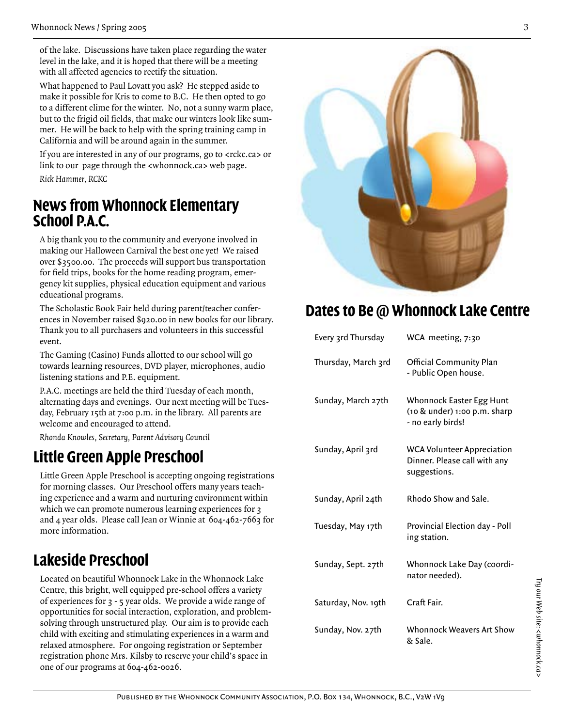of the lake. Discussions have taken place regarding the water level in the lake, and it is hoped that there will be a meeting with all affected agencies to rectify the situation.

What happened to Paul Lovatt you ask? He stepped aside to make it possible for Kris to come to B.C. He then opted to go to a different clime for the winter. No, not a sunny warm place, but to the frigid oil fields, that make our winters look like summer. He will be back to help with the spring training camp in California and will be around again in the summer.

If you are interested in any of our programs, go to <rckc.ca> or link to our page through the <whonnock.ca> web page. *Rick Hammer, RCKC*

#### **News from Whonnock Elementary School P.A.C.**

A big thank you to the community and everyone involved in making our Halloween Carnival the best one yet! We raised over \$3500.00. The proceeds will support bus transportation for field trips, books for the home reading program, emergency kit supplies, physical education equipment and various educational programs.

The Scholastic Book Fair held during parent/teacher conferences in November raised \$920.00 in new books for our library. Thank you to all purchasers and volunteers in this successful event.

The Gaming (Casino) Funds allotted to our school will go towards learning resources, DVD player, microphones, audio listening stations and P.E. equipment.

P.A.C. meetings are held the third Tuesday of each month, alternating days and evenings. Our next meeting will be Tuesday, February 15th at 7:00 p.m. in the library. All parents are welcome and encouraged to attend.

*Rhonda Knowles, Secretary, Parent Advisory Council*

#### **Little Green Apple Preschool**

Little Green Apple Preschool is accepting ongoing registrations for morning classes. Our Preschool offers many years teaching experience and a warm and nurturing environment within which we can promote numerous learning experiences for  $\alpha$ and 4 year olds. Please call Jean or Winnie at 604-462-7663 for more information.

#### **Lakeside Preschool**

Located on beautiful Whonnock Lake in the Whonnock Lake Centre, this bright, well equipped pre-school offers a variety of experiences for 3 - 5 year olds. We provide a wide range of opportunities for social interaction, exploration, and problemsolving through unstructured play. Our aim is to provide each child with exciting and stimulating experiences in a warm and relaxed atmosphere. For ongoing registration or September registration phone Mrs. Kilsby to reserve your child's space in one of our programs at 604-462-0026.



#### **Dates to Be @ Whonnock Lake Centre**

| Every 3rd Thursday  | WCA meeting, 7:30                                                                 |
|---------------------|-----------------------------------------------------------------------------------|
| Thursday, March 3rd | <b>Official Community Plan</b><br>- Public Open house.                            |
| Sunday, March 27th  | Whonnock Easter Egg Hunt<br>(10 & under) 1:00 p.m. sharp<br>- no early birds!     |
| Sunday, April 3rd   | <b>WCA Volunteer Appreciation</b><br>Dinner. Please call with any<br>suggestions. |
| Sunday, April 24th  | Rhodo Show and Sale.                                                              |
| Tuesday, May 17th   | Provincial Election day - Poll<br>ing station.                                    |
| Sunday, Sept. 27th  | Whonnock Lake Day (coordi-<br>nator needed).                                      |
| Saturday, Nov. 19th | Craft Fair.                                                                       |
| Sunday, Nov. 27th   | <b>Whonnock Weavers Art Show</b><br>& Sale.                                       |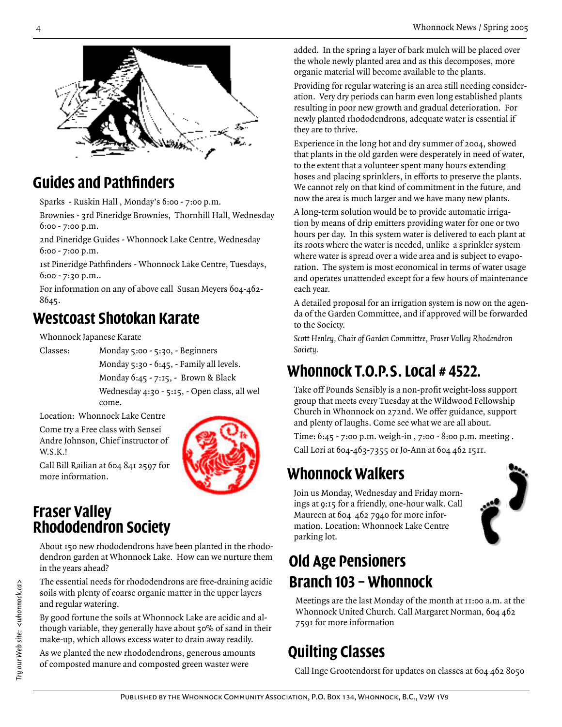

# **Guides and Pathfinders**

Sparks - Ruskin Hall , Monday's 6:00 - 7:00 p.m.

Brownies - 3rd Pineridge Brownies, Thornhill Hall, Wednesday 6:00 - 7:00 p.m.

2nd Pineridge Guides - Whonnock Lake Centre, Wednesday 6:00 - 7:00 p.m.

1st Pineridge Pathfinders - Whonnock Lake Centre, Tuesdays, 6:00 - 7:30 p.m..

For information on any of above call Susan Meyers 604-462- 8645.

# **Westcoast Shotokan Karate**

Whonnock Japanese Karate

Classes: Monday 5:00 - 5:30, - Beginners Monday 5:30 - 6:45, - Family all levels. Monday 6:45 - 7:15, - Brown & Black Wednesday 4:30 - 5:15, - Open class, all wel come.

Location: Whonnock Lake Centre

Come try a Free class with Sensei Andre Johnson, Chief instructor of W.S.K.!



Call Bill Railian at 604 841 2597 for more information.

#### **Fraser Valley Rhododendron Society**

About 150 new rhododendrons have been planted in the rhododendron garden at Whonnock Lake. How can we nurture them in the years ahead?

The essential needs for rhododendrons are free-draining acidic soils with plenty of coarse organic matter in the upper layers and regular watering.

By good fortune the soils at Whonnock Lake are acidic and although variable, they generally have about 50% of sand in their make-up, which allows excess water to drain away readily.

As we planted the new rhododendrons, generous amounts of composted manure and composted green waster were

added. In the spring a layer of bark mulch will be placed over the whole newly planted area and as this decomposes, more organic material will become available to the plants.

Providing for regular watering is an area still needing consideration. Very dry periods can harm even long established plants resulting in poor new growth and gradual deterioration. For newly planted rhododendrons, adequate water is essential if they are to thrive.

Experience in the long hot and dry summer of 2004, showed that plants in the old garden were desperately in need of water, to the extent that a volunteer spent many hours extending hoses and placing sprinklers, in efforts to preserve the plants. We cannot rely on that kind of commitment in the future, and now the area is much larger and we have many new plants.

A long-term solution would be to provide automatic irrigation by means of drip emitters providing water for one or two hours per day. In this system water is delivered to each plant at its roots where the water is needed, unlike a sprinkler system where water is spread over a wide area and is subject to evaporation. The system is most economical in terms of water usage and operates unattended except for a few hours of maintenance each year.

A detailed proposal for an irrigation system is now on the agenda of the Garden Committee, and if approved will be forwarded to the Society.

*Scott Henley, Chair of Garden Committee, Fraser Valley Rhodendron Society.*

# **Whonnock T.O.P.S. Local # 4522.**

Take off Pounds Sensibly is a non-profit weight-loss support group that meets every Tuesday at the Wildwood Fellowship Church in Whonnock on 272nd. We offer guidance, support and plenty of laughs. Come see what we are all about.

Time: 6:45 - 7:00 p.m. weigh-in , 7:00 - 8:00 p.m. meeting .

Call Lori at 604-463-7355 or Jo-Ann at 604 462 1511.

# **Whonnock Walkers**

Join us Monday, Wednesday and Friday mornings at 9:15 for a friendly, one-hour walk. Call Maureen at 604 462 7940 for more information. Location: Whonnock Lake Centre parking lot.



# **Old Age Pensioners Branch 103 – Whonnock**

Meetings are the last Monday of the month at 11:00 a.m. at the Whonnock United Church. Call Margaret Norman, 604 462 7591 for more information

# **Quilting Classes**

Call Inge Grootendorst for updates on classes at 604 462 8050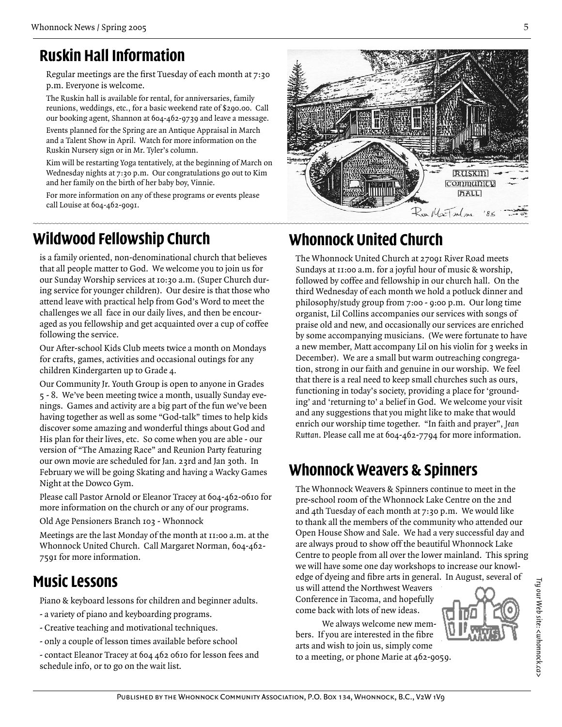# **Ruskin Hall Information**

Regular meetings are the first Tuesday of each month at 7:30 p.m. Everyone is welcome.

The Ruskin hall is available for rental, for anniversaries, family reunions, weddings, etc., for a basic weekend rate of \$290.00. Call our booking agent, Shannon at 604-462-9739 and leave a message.

Events planned for the Spring are an Antique Appraisal in March and a Talent Show in April. Watch for more information on the Ruskin Nursery sign or in Mr. Tyler's column.

Kim will be restarting Yoga tentatively, at the beginning of March on Wednesday nights at 7:30 p.m. Our congratulations go out to Kim and her family on the birth of her baby boy, Vinnie.

For more information on any of these programs or events please call Louise at 604-462-9091.

# **Wildwood Fellowship Church**

is a family oriented, non-denominational church that believes that all people matter to God. We welcome you to join us for our Sunday Worship services at 10:30 a.m. (Super Church during service for younger children). Our desire is that those who attend leave with practical help from God's Word to meet the challenges we all face in our daily lives, and then be encouraged as you fellowship and get acquainted over a cup of coffee following the service.

Our After-school Kids Club meets twice a month on Mondays for crafts, games, activities and occasional outings for any children Kindergarten up to Grade 4.

Our Community Jr. Youth Group is open to anyone in Grades 5 - 8. We've been meeting twice a month, usually Sunday evenings. Games and activity are a big part of the fun we've been having together as well as some "God-talk" times to help kids discover some amazing and wonderful things about God and His plan for their lives, etc. So come when you are able - our version of "The Amazing Race" and Reunion Party featuring our own movie are scheduled for Jan. 23rd and Jan 30th. In February we will be going Skating and having a Wacky Games Night at the Dowco Gym.

Please call Pastor Arnold or Eleanor Tracey at 604-462-0610 for more information on the church or any of our programs.

Old Age Pensioners Branch 103 - Whonnock

Meetings are the last Monday of the month at 11:00 a.m. at the Whonnock United Church. Call Margaret Norman, 604-462- 7591 for more information.

# **Music Lessons**

Piano & keyboard lessons for children and beginner adults.

- a variety of piano and keyboarding programs.
- Creative teaching and motivational techniques.
- only a couple of lesson times available before school

- contact Eleanor Tracey at 604 462 0610 for lesson fees and schedule info, or to go on the wait list.



# **Whonnock United Church**

The Whonnock United Church at 27091 River Road meets Sundays at 11:00 a.m. for a joyful hour of music & worship, followed by coffee and fellowship in our church hall. On the third Wednesday of each month we hold a potluck dinner and philosophy/study group from 7:00 - 9:00 p.m. Our long time organist, Lil Collins accompanies our services with songs of praise old and new, and occasionally our services are enriched by some accompanying musicians. (We were fortunate to have a new member, Matt accompany Lil on his violin for 3 weeks in December). We are a small but warm outreaching congregation, strong in our faith and genuine in our worship. We feel that there is a real need to keep small churches such as ours, functioning in today's society, providing a place for 'grounding' and 'returning to' a belief in God. We welcome your visit and any suggestions that you might like to make that would enrich our worship time together. "In faith and prayer", *Jean Ruttan*. Please call me at 604-462-7794 for more information.

# **Whonnock Weavers & Spinners**

The Whonnock Weavers & Spinners continue to meet in the pre-school room of the Whonnock Lake Centre on the 2nd and 4th Tuesday of each month at 7:30 p.m. We would like to thank all the members of the community who attended our Open House Show and Sale. We had a very successful day and are always proud to show off the beautiful Whonnock Lake Centre to people from all over the lower mainland. This spring we will have some one day workshops to increase our knowledge of dyeing and fibre arts in general. In August, several of

us will attend the Northwest Weavers Conference in Tacoma, and hopefully come back with lots of new ideas.

We always welcome new members. If you are interested in the fibre arts and wish to join us, simply come to a meeting, or phone Marie at 462-9059.